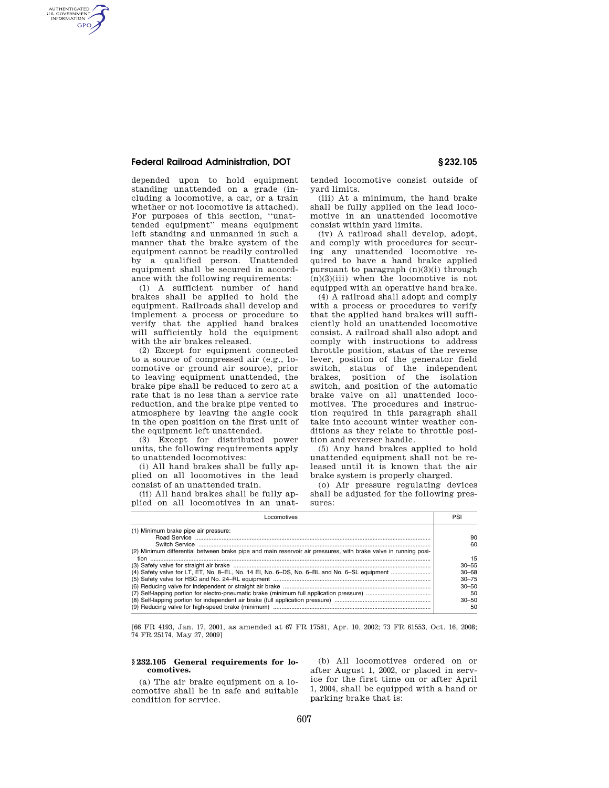## **Federal Railroad Administration, DOT § 232.105**

AUTHENTICATED<br>U.S. GOVERNMENT<br>INFORMATION GPO

> depended upon to hold equipment standing unattended on a grade (including a locomotive, a car, or a train whether or not locomotive is attached). For purposes of this section, ''unattended equipment'' means equipment left standing and unmanned in such a manner that the brake system of the equipment cannot be readily controlled by a qualified person. Unattended equipment shall be secured in accordance with the following requirements:

> (1) A sufficient number of hand brakes shall be applied to hold the equipment. Railroads shall develop and implement a process or procedure to verify that the applied hand brakes will sufficiently hold the equipment with the air brakes released.

> (2) Except for equipment connected to a source of compressed air (e.g., locomotive or ground air source), prior to leaving equipment unattended, the brake pipe shall be reduced to zero at a rate that is no less than a service rate reduction, and the brake pipe vented to atmosphere by leaving the angle cock in the open position on the first unit of the equipment left unattended.

> (3) Except for distributed power units, the following requirements apply to unattended locomotives:

> (i) All hand brakes shall be fully applied on all locomotives in the lead consist of an unattended train.

> (ii) All hand brakes shall be fully applied on all locomotives in an unat

tended locomotive consist outside of yard limits.

(iii) At a minimum, the hand brake shall be fully applied on the lead locomotive in an unattended locomotive consist within yard limits.

(iv) A railroad shall develop, adopt, and comply with procedures for securing any unattended locomotive required to have a hand brake applied pursuant to paragraph  $(n)(3)(i)$  through  $(n)(3)(iii)$  when the locomotive is not equipped with an operative hand brake.

(4) A railroad shall adopt and comply with a process or procedures to verify that the applied hand brakes will sufficiently hold an unattended locomotive consist. A railroad shall also adopt and comply with instructions to address throttle position, status of the reverse lever, position of the generator field switch, status of the independent brakes, position of the isolation switch, and position of the automatic brake valve on all unattended locomotives. The procedures and instruction required in this paragraph shall take into account winter weather conditions as they relate to throttle position and reverser handle.

(5) Any hand brakes applied to hold unattended equipment shall not be released until it is known that the air brake system is properly charged.

(o) Air pressure regulating devices shall be adjusted for the following pressures:

| ocomotives                                                                                                                                                                                                                                                     | PS                                                                                          |
|----------------------------------------------------------------------------------------------------------------------------------------------------------------------------------------------------------------------------------------------------------------|---------------------------------------------------------------------------------------------|
| (1) Minimum brake pipe air pressure:<br>(2) Minimum differential between brake pipe and main reservoir air pressures, with brake valve in running posi-<br>tion<br>(4) Safety valve for LT, ET, No. 8-EL, No. 14 EI, No. 6-DS, No. 6-BL and No. 6-SL equipment | 90<br>60<br>15<br>$30 - 55$<br>$30 - 68$<br>$30 - 75$<br>$30 - 50$<br>50<br>$30 - 50$<br>50 |
|                                                                                                                                                                                                                                                                |                                                                                             |

[66 FR 4193, Jan. 17, 2001, as amended at 67 FR 17581, Apr. 10, 2002; 73 FR 61553, Oct. 16, 2008; 74 FR 25174, May 27, 2009]

#### **§ 232.105 General requirements for locomotives.**

(a) The air brake equipment on a locomotive shall be in safe and suitable condition for service.

(b) All locomotives ordered on or after August 1, 2002, or placed in service for the first time on or after April 1, 2004, shall be equipped with a hand or parking brake that is: